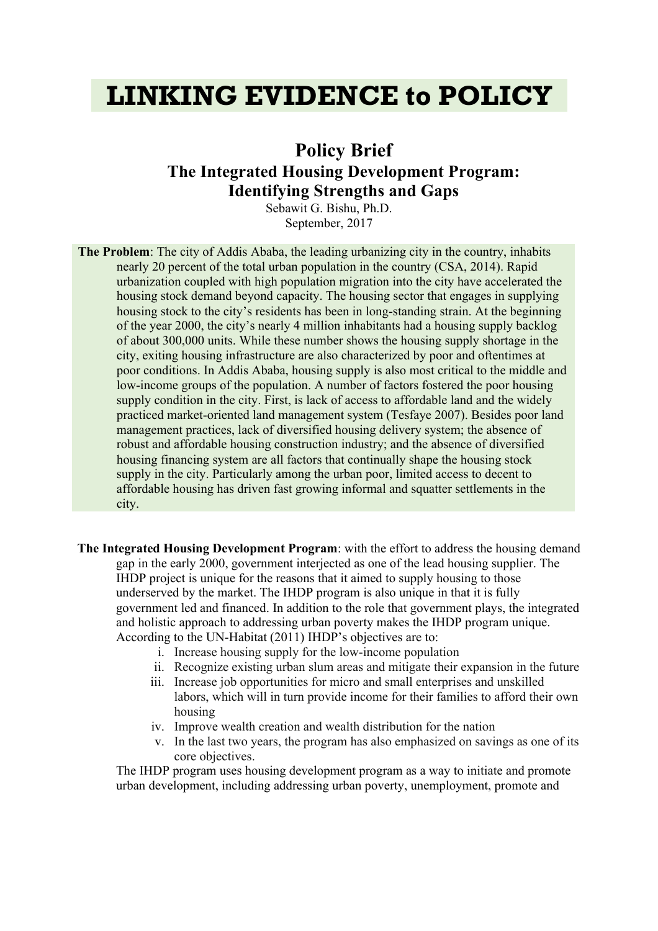# **LINKING EVIDENCE to POLICY**

# **Policy Brief The Integrated Housing Development Program: Identifying Strengths and Gaps**

Sebawit G. Bishu, Ph.D. September, 2017

**The Problem**: The city of Addis Ababa, the leading urbanizing city in the country, inhabits nearly 20 percent of the total urban population in the country (CSA, 2014). Rapid urbanization coupled with high population migration into the city have accelerated the housing stock demand beyond capacity. The housing sector that engages in supplying housing stock to the city's residents has been in long-standing strain. At the beginning of the year 2000, the city's nearly 4 million inhabitants had a housing supply backlog of about 300,000 units. While these number shows the housing supply shortage in the city, exiting housing infrastructure are also characterized by poor and oftentimes at poor conditions. In Addis Ababa, housing supply is also most critical to the middle and low-income groups of the population. A number of factors fostered the poor housing supply condition in the city. First, is lack of access to affordable land and the widely practiced market-oriented land management system (Tesfaye 2007). Besides poor land management practices, lack of diversified housing delivery system; the absence of robust and affordable housing construction industry; and the absence of diversified housing financing system are all factors that continually shape the housing stock supply in the city. Particularly among the urban poor, limited access to decent to affordable housing has driven fast growing informal and squatter settlements in the city.

- **The Integrated Housing Development Program**: with the effort to address the housing demand gap in the early 2000, government interjected as one of the lead housing supplier. The IHDP project is unique for the reasons that it aimed to supply housing to those underserved by the market. The IHDP program is also unique in that it is fully government led and financed. In addition to the role that government plays, the integrated and holistic approach to addressing urban poverty makes the IHDP program unique. According to the UN-Habitat (2011) IHDP's objectives are to:
	- i. Increase housing supply for the low-income population
	- ii. Recognize existing urban slum areas and mitigate their expansion in the future
	- iii. Increase job opportunities for micro and small enterprises and unskilled labors, which will in turn provide income for their families to afford their own housing
	- iv. Improve wealth creation and wealth distribution for the nation
	- v. In the last two years, the program has also emphasized on savings as one of its core objectives.

The IHDP program uses housing development program as a way to initiate and promote urban development, including addressing urban poverty, unemployment, promote and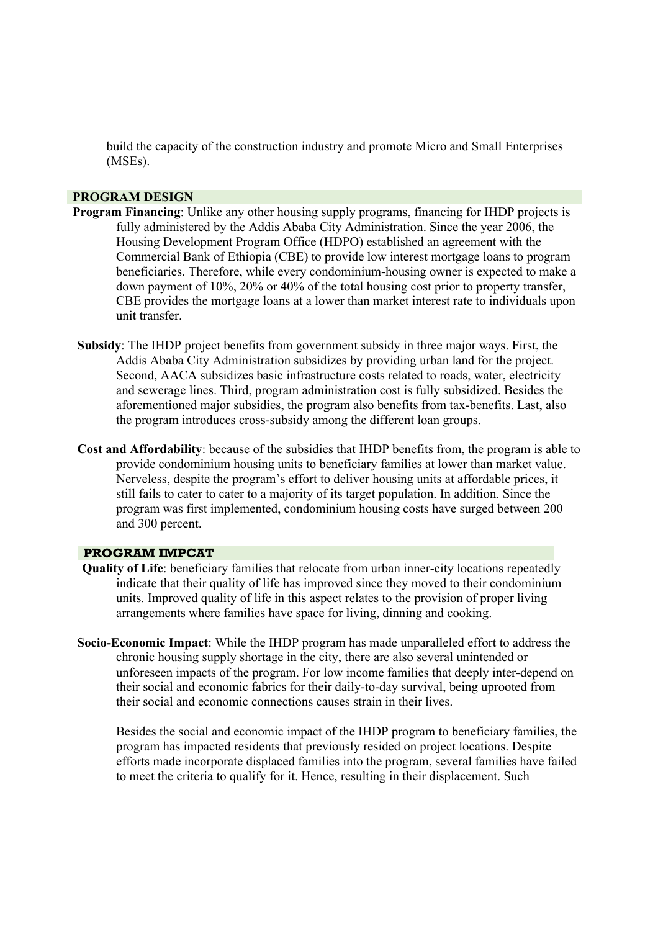build the capacity of the construction industry and promote Micro and Small Enterprises (MSEs).

#### **PROGRAM DESIGN**

- **Program Financing**: Unlike any other housing supply programs, financing for IHDP projects is fully administered by the Addis Ababa City Administration. Since the year 2006, the Housing Development Program Office (HDPO) established an agreement with the Commercial Bank of Ethiopia (CBE) to provide low interest mortgage loans to program beneficiaries. Therefore, while every condominium-housing owner is expected to make a down payment of 10%, 20% or 40% of the total housing cost prior to property transfer, CBE provides the mortgage loans at a lower than market interest rate to individuals upon unit transfer.
- **Subsidy**: The IHDP project benefits from government subsidy in three major ways. First, the Addis Ababa City Administration subsidizes by providing urban land for the project. Second, AACA subsidizes basic infrastructure costs related to roads, water, electricity and sewerage lines. Third, program administration cost is fully subsidized. Besides the aforementioned major subsidies, the program also benefits from tax-benefits. Last, also the program introduces cross-subsidy among the different loan groups.
- **Cost and Affordability**: because of the subsidies that IHDP benefits from, the program is able to provide condominium housing units to beneficiary families at lower than market value. Nerveless, despite the program's effort to deliver housing units at affordable prices, it still fails to cater to cater to a majority of its target population. In addition. Since the program was first implemented, condominium housing costs have surged between 200 and 300 percent.

#### **PROGRAM IMPCAT**

- **Quality of Life**: beneficiary families that relocate from urban inner-city locations repeatedly indicate that their quality of life has improved since they moved to their condominium units. Improved quality of life in this aspect relates to the provision of proper living arrangements where families have space for living, dinning and cooking.
- **Socio-Economic Impact**: While the IHDP program has made unparalleled effort to address the chronic housing supply shortage in the city, there are also several unintended or unforeseen impacts of the program. For low income families that deeply inter-depend on their social and economic fabrics for their daily-to-day survival, being uprooted from their social and economic connections causes strain in their lives.

Besides the social and economic impact of the IHDP program to beneficiary families, the program has impacted residents that previously resided on project locations. Despite efforts made incorporate displaced families into the program, several families have failed to meet the criteria to qualify for it. Hence, resulting in their displacement. Such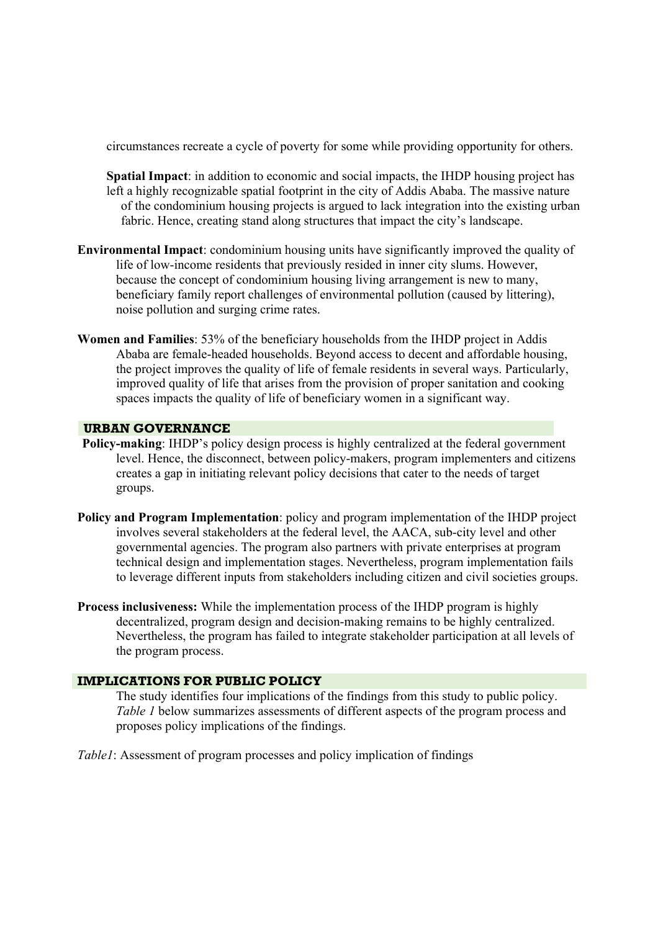circumstances recreate a cycle of poverty for some while providing opportunity for others.

- **Spatial Impact**: in addition to economic and social impacts, the IHDP housing project has left a highly recognizable spatial footprint in the city of Addis Ababa. The massive nature of the condominium housing projects is argued to lack integration into the existing urban fabric. Hence, creating stand along structures that impact the city's landscape.
- **Environmental Impact**: condominium housing units have significantly improved the quality of life of low-income residents that previously resided in inner city slums. However, because the concept of condominium housing living arrangement is new to many, beneficiary family report challenges of environmental pollution (caused by littering), noise pollution and surging crime rates.
- **Women and Families**: 53% of the beneficiary households from the IHDP project in Addis Ababa are female-headed households. Beyond access to decent and affordable housing, the project improves the quality of life of female residents in several ways. Particularly, improved quality of life that arises from the provision of proper sanitation and cooking spaces impacts the quality of life of beneficiary women in a significant way.

# **URBAN GOVERNANCE**

- **Policy-making**: IHDP's policy design process is highly centralized at the federal government level. Hence, the disconnect, between policy-makers, program implementers and citizens creates a gap in initiating relevant policy decisions that cater to the needs of target groups.
- **Policy and Program Implementation**: policy and program implementation of the IHDP project involves several stakeholders at the federal level, the AACA, sub-city level and other governmental agencies. The program also partners with private enterprises at program technical design and implementation stages. Nevertheless, program implementation fails to leverage different inputs from stakeholders including citizen and civil societies groups.
- **Process inclusiveness:** While the implementation process of the IHDP program is highly decentralized, program design and decision-making remains to be highly centralized. Nevertheless, the program has failed to integrate stakeholder participation at all levels of the program process.

#### **IMPLICATIONS FOR PUBLIC POLICY**

The study identifies four implications of the findings from this study to public policy. *Table 1* below summarizes assessments of different aspects of the program process and proposes policy implications of the findings.

*Table1*: Assessment of program processes and policy implication of findings